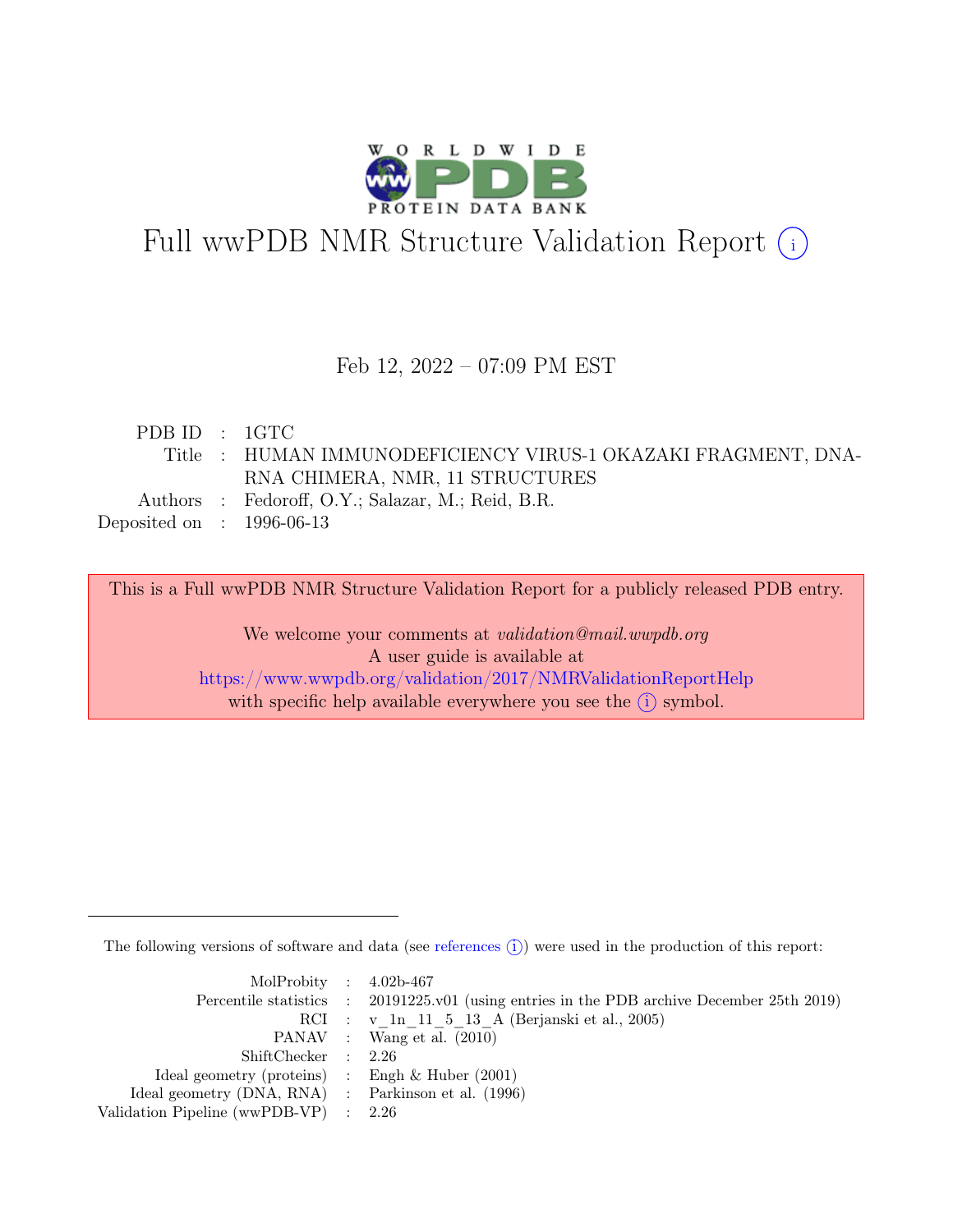

# Full wwPDB NMR Structure Validation Report (i)

### Feb 12, 2022 – 07:09 PM EST

| PDBID : 1GTC                |                                                               |
|-----------------------------|---------------------------------------------------------------|
|                             | Title : HUMAN IMMUNODEFICIENCY VIRUS-1 OKAZAKI FRAGMENT, DNA- |
|                             | RNA CHIMERA, NMR, 11 STRUCTURES                               |
|                             | Authors : Fedoroff, O.Y.; Salazar, M.; Reid, B.R.             |
| Deposited on : $1996-06-13$ |                                                               |
|                             |                                                               |

This is a Full wwPDB NMR Structure Validation Report for a publicly released PDB entry.

We welcome your comments at *validation@mail.wwpdb.org* A user guide is available at <https://www.wwpdb.org/validation/2017/NMRValidationReportHelp> with specific help available everywhere you see the  $(i)$  symbol.

The following versions of software and data (see [references](https://www.wwpdb.org/validation/2017/NMRValidationReportHelp#references)  $\hat{I}$ ) were used in the production of this report:

| MolProbity : $4.02b-467$                            |                                                                                            |
|-----------------------------------------------------|--------------------------------------------------------------------------------------------|
|                                                     | Percentile statistics : 20191225.v01 (using entries in the PDB archive December 25th 2019) |
|                                                     | RCI : v 1n 11 5 13 A (Berjanski et al., 2005)                                              |
|                                                     | PANAV : Wang et al. (2010)                                                                 |
| ShiftChecker : 2.26                                 |                                                                                            |
| Ideal geometry (proteins) : Engh $\&$ Huber (2001)  |                                                                                            |
| Ideal geometry (DNA, RNA) : Parkinson et al. (1996) |                                                                                            |
| Validation Pipeline (wwPDB-VP) $\therefore$ 2.26    |                                                                                            |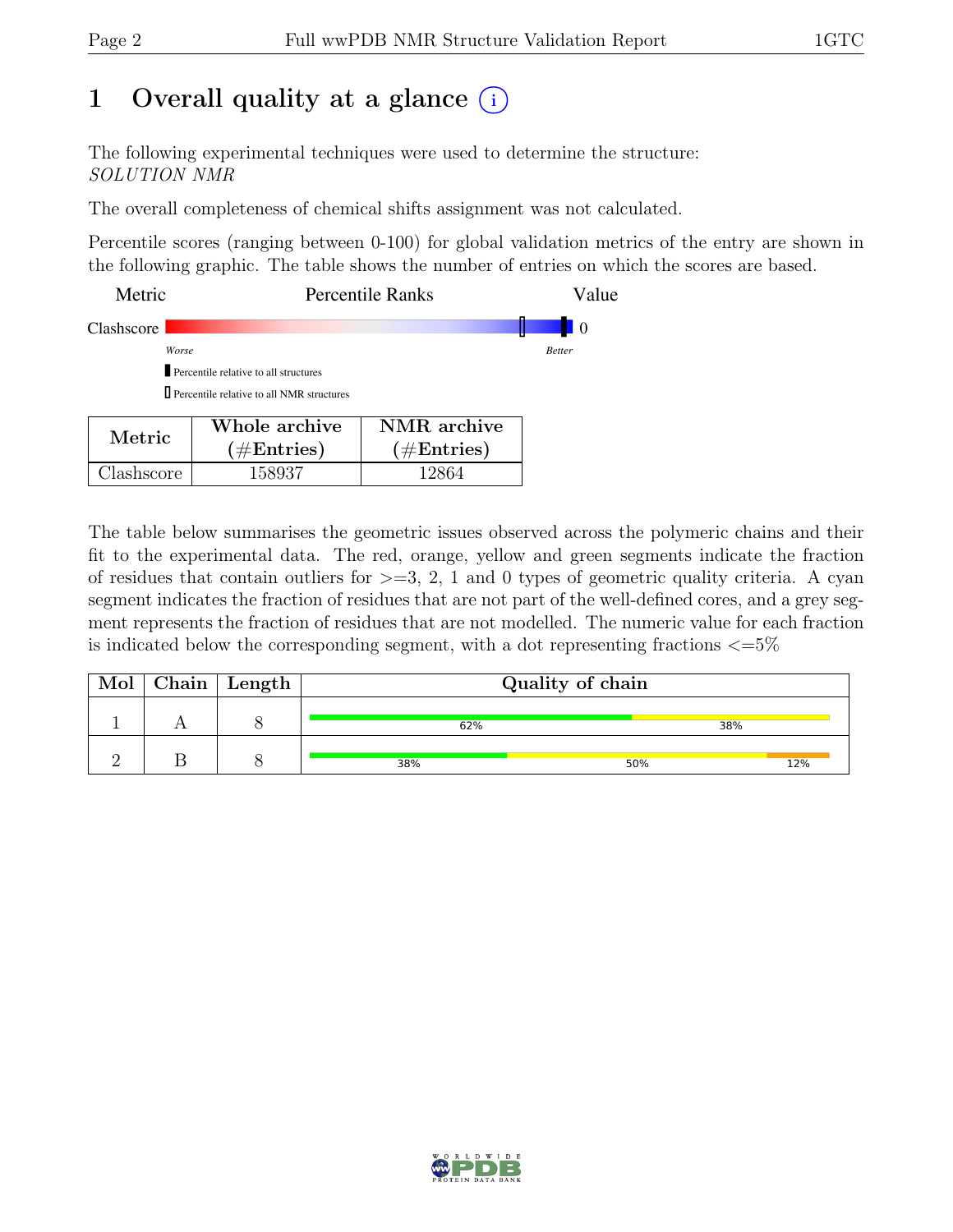## 1 Overall quality at a glance  $(i)$

The following experimental techniques were used to determine the structure: SOLUTION NMR

The overall completeness of chemical shifts assignment was not calculated.

Percentile scores (ranging between 0-100) for global validation metrics of the entry are shown in the following graphic. The table shows the number of entries on which the scores are based.

| Metric     | Percentile Ranks                                   | Value         |
|------------|----------------------------------------------------|---------------|
| Clashscore |                                                    |               |
|            | Worse                                              | <b>Better</b> |
|            | Percentile relative to all structures              |               |
|            | <b>I</b> Percentile relative to all NMR structures |               |
|            | Whole archive<br>NMR archive                       |               |

| Metric.    | Whole archive<br>$(\#Entries)$ | NMR archive<br>$(\#Entries)$ |
|------------|--------------------------------|------------------------------|
| Clashscore | 158937                         | 12864                        |

The table below summarises the geometric issues observed across the polymeric chains and their fit to the experimental data. The red, orange, yellow and green segments indicate the fraction of residues that contain outliers for  $>=$  3, 2, 1 and 0 types of geometric quality criteria. A cyan segment indicates the fraction of residues that are not part of the well-defined cores, and a grey segment represents the fraction of residues that are not modelled. The numeric value for each fraction is indicated below the corresponding segment, with a dot representing fractions  $\epsilon = 5\%$ 

| Mol | Chain   Length |     | Quality of chain |     |
|-----|----------------|-----|------------------|-----|
|     |                | 62% | 38%              |     |
|     |                | 38% | 50%              | 12% |

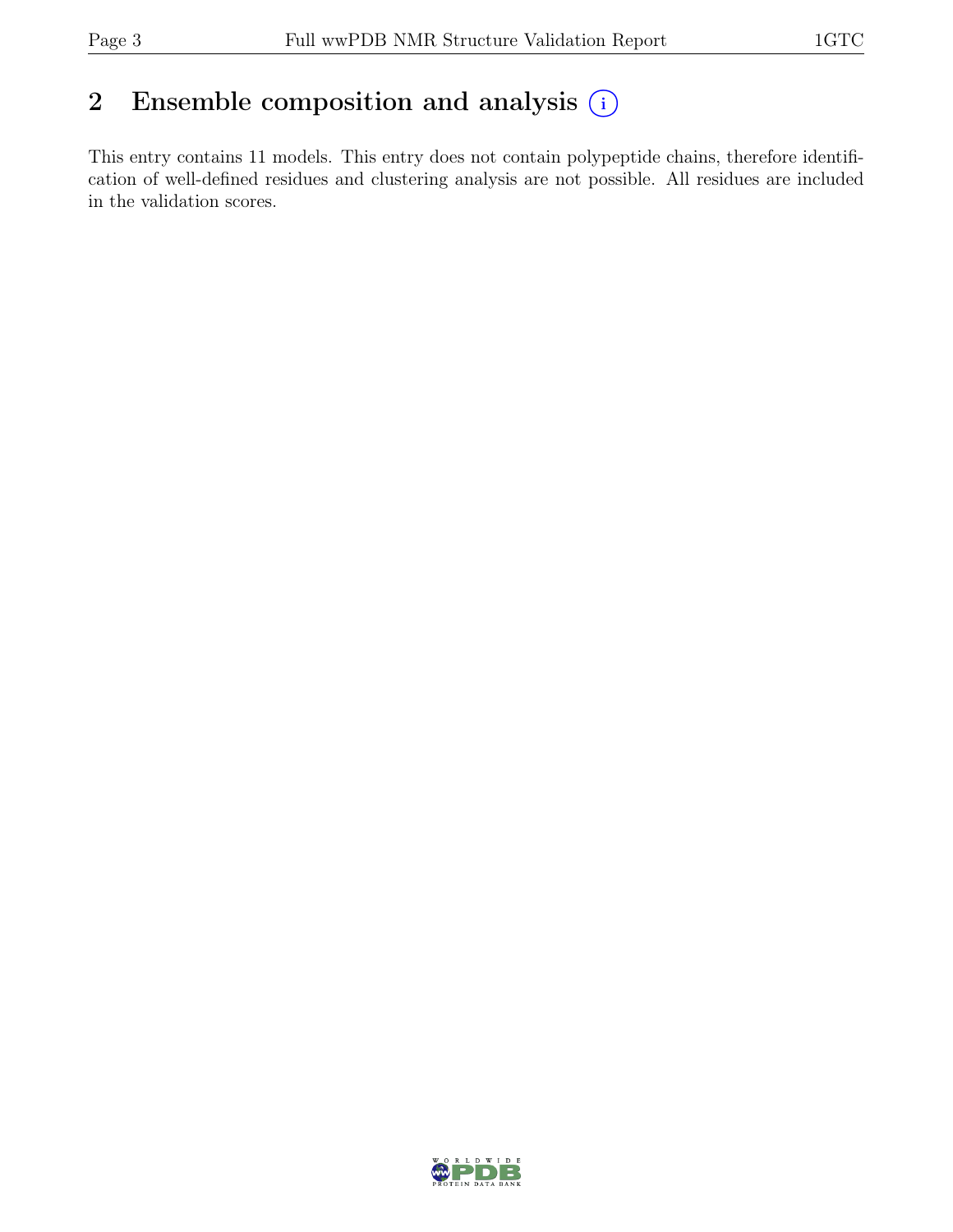## 2 Ensemble composition and analysis  $(i)$

This entry contains 11 models. This entry does not contain polypeptide chains, therefore identification of well-defined residues and clustering analysis are not possible. All residues are included in the validation scores.

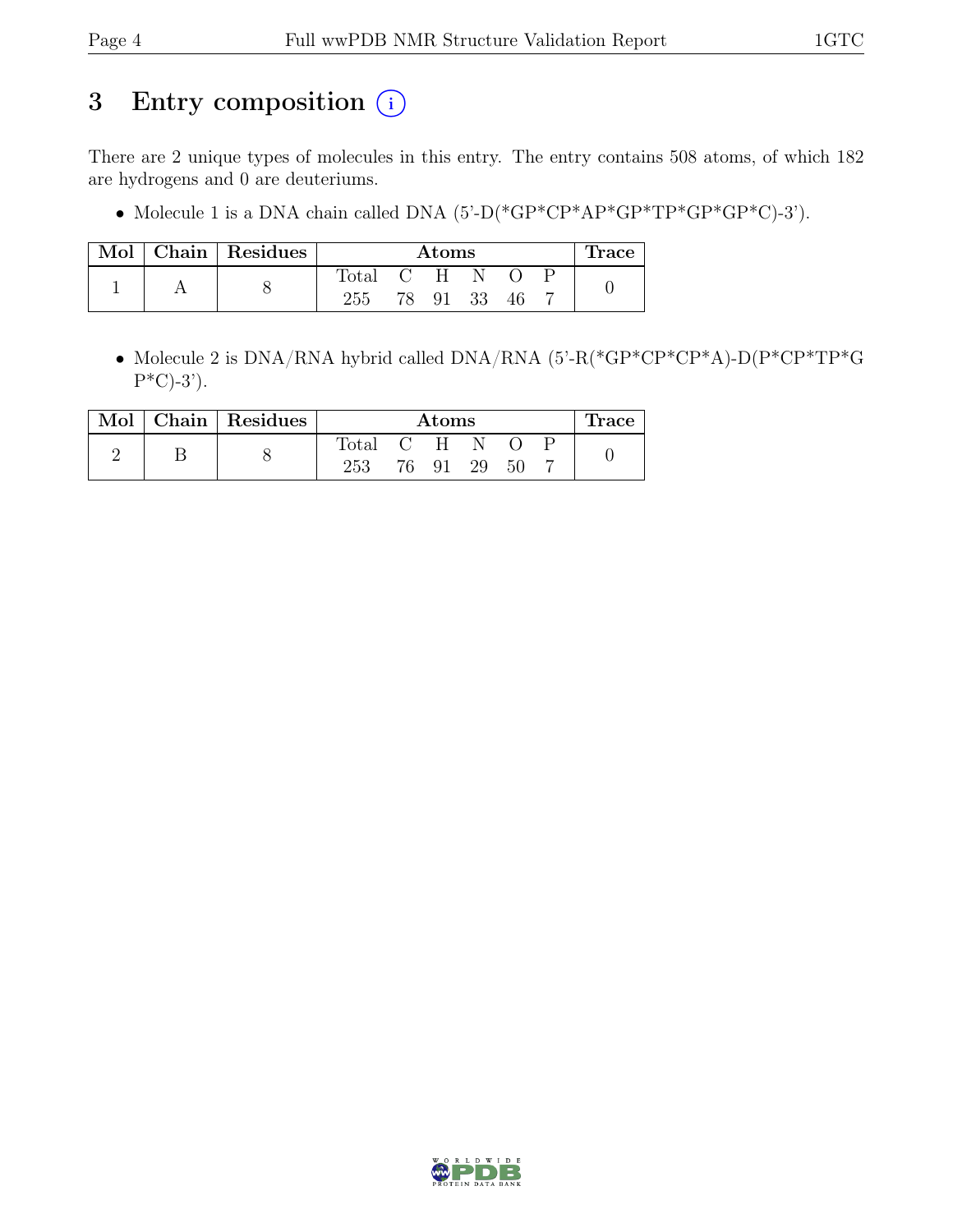## 3 Entry composition  $(i)$

There are 2 unique types of molecules in this entry. The entry contains 508 atoms, of which 182 are hydrogens and 0 are deuteriums.

• Molecule 1 is a DNA chain called DNA  $(5)-D(*GP*CP*AP*GP*TP*GP*GP*CP*CP).$ 

|  | Mol   Chain   Residues | Atoms |    |    |      | <b>Trace</b> |  |  |
|--|------------------------|-------|----|----|------|--------------|--|--|
|  |                        | Total |    | H  |      |              |  |  |
|  |                        | 255   | 78 | 91 | - 33 | 46           |  |  |

• Molecule 2 is DNA/RNA hybrid called DNA/RNA (5'-R(\*GP\*CP\*CP\*A)-D(P\*CP\*TP\*G  $P^*C$ -3').

| Mol | $\vert$ Chain $\vert$ Residues | $\rm{Atoms}$ |    |              |    | <b>race</b> |  |  |
|-----|--------------------------------|--------------|----|--------------|----|-------------|--|--|
|     |                                | Total        |    | $\mathbf{H}$ |    |             |  |  |
|     | 0                              | 253          | 76 | 91           | 29 | 50          |  |  |

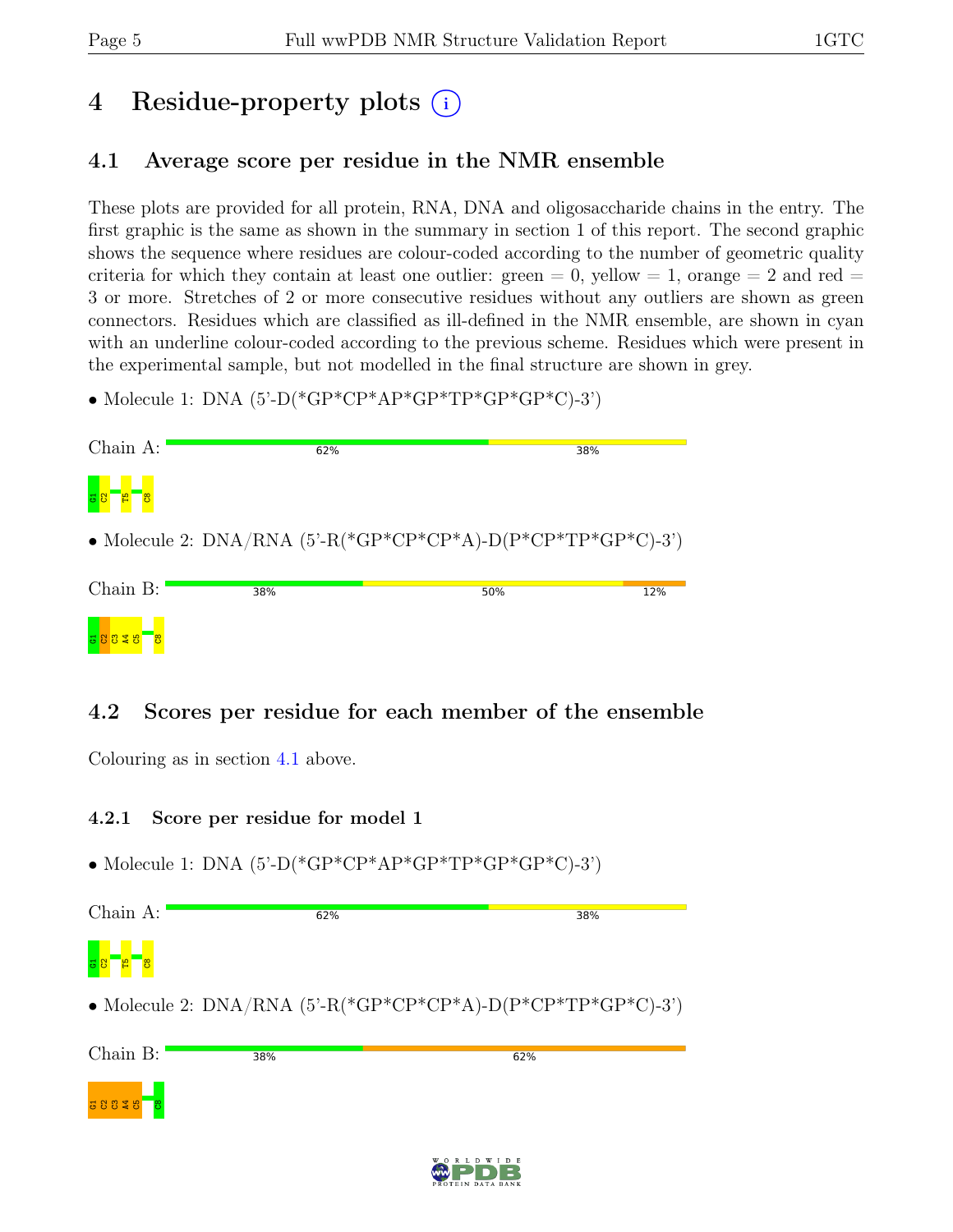# 4 Residue-property plots (i)

## <span id="page-4-0"></span>4.1 Average score per residue in the NMR ensemble

These plots are provided for all protein, RNA, DNA and oligosaccharide chains in the entry. The first graphic is the same as shown in the summary in section 1 of this report. The second graphic shows the sequence where residues are colour-coded according to the number of geometric quality criteria for which they contain at least one outlier: green  $= 0$ , yellow  $= 1$ , orange  $= 2$  and red  $=$ 3 or more. Stretches of 2 or more consecutive residues without any outliers are shown as green connectors. Residues which are classified as ill-defined in the NMR ensemble, are shown in cyan with an underline colour-coded according to the previous scheme. Residues which were present in the experimental sample, but not modelled in the final structure are shown in grey.

• Molecule 1: DNA  $(5^{\circ}$ -D(\*GP\*CP\*AP\*GP\*TP\*GP\*GP\*C)-3')

| Chain A: | 62%                                                                    |     | 38% |
|----------|------------------------------------------------------------------------|-----|-----|
| စ္ပ      |                                                                        |     |     |
|          | • Molecule 2: DNA/RNA $(5^{\circ}$ -R(*GP*CP*CP*A)-D(P*CP*TP*GP*C)-3') |     |     |
| Chain B: | 38%                                                                    | 50% | 12% |
|          |                                                                        |     |     |

## 4.2 Scores per residue for each member of the ensemble

Colouring as in section [4.1](#page-4-0) above.

### 4.2.1 Score per residue for model 1

• Molecule 1: DNA (5'-D(\*GP\*CP\*AP\*GP\*TP\*GP\*GP\*C)-3')

| Chain A:      | 62% | 38% |
|---------------|-----|-----|
| г<br>్రె<br>ö |     |     |

• Molecule 2: DNA/RNA  $(5'-R(*\text{GP*CP*}\text{CP*}\text{AP}+D(P*\text{CP*}\text{TP*}\text{GP*}\text{CP}+C)-3')$ 

| Chain B:  | 38% | 62% |
|-----------|-----|-----|
| $38848$ 8 |     |     |

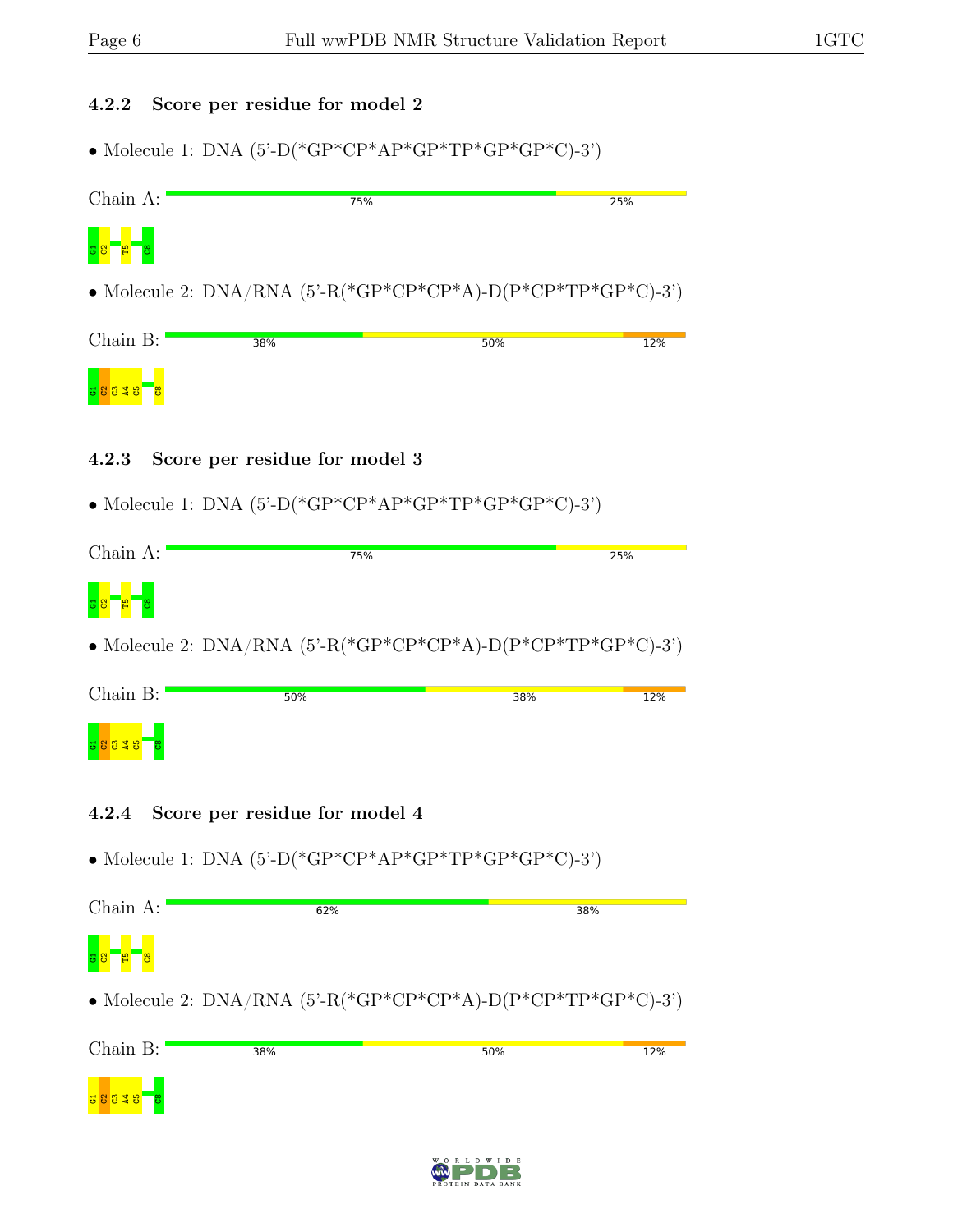### 4.2.2 Score per residue for model 2

• Molecule 1: DNA (5'-D(\*GP\*CP\*AP\*GP\*TP\*GP\*GP\*C)-3')



### 4.2.3 Score per residue for model 3

• Molecule 1: DNA  $(5)-P$ <sup>\*</sup>GP<sup>\*</sup>CP<sup>\*</sup>AP<sup>\*</sup>GP<sup>\*</sup>TP<sup>\*</sup>GP<sup>\*</sup>GP<sup>\*</sup>C $)-3$ <sup>\*</sup>)

| Chain A:                                  | 75% | 25% |
|-------------------------------------------|-----|-----|
| B <sub>1</sub><br>ဲဒီ<br><mark>명 8</mark> |     |     |

• Molecule 2:  $DNA/RNA$  (5'-R(\*GP\*CP\*CP\*A)-D(P\*CP\*TP\*GP\*C)-3')

| Chain B:   | 50% | 38% | 12% |
|------------|-----|-----|-----|
| 38328<br>း |     |     |     |

- 4.2.4 Score per residue for model 4
- $\bullet$  Molecule 1: DNA (5'-D(\*GP\*CP\*AP\*GP\*TP\*GP\*GP\*C)-3')

| Chain A:              | 62%                                                                    | 38% |
|-----------------------|------------------------------------------------------------------------|-----|
| a <mark>s Pape</mark> |                                                                        |     |
|                       | • Molecule 2: DNA/RNA $(5^{\circ}$ -R(*GP*CP*CP*A)-D(P*CP*TP*GP*C)-3') |     |



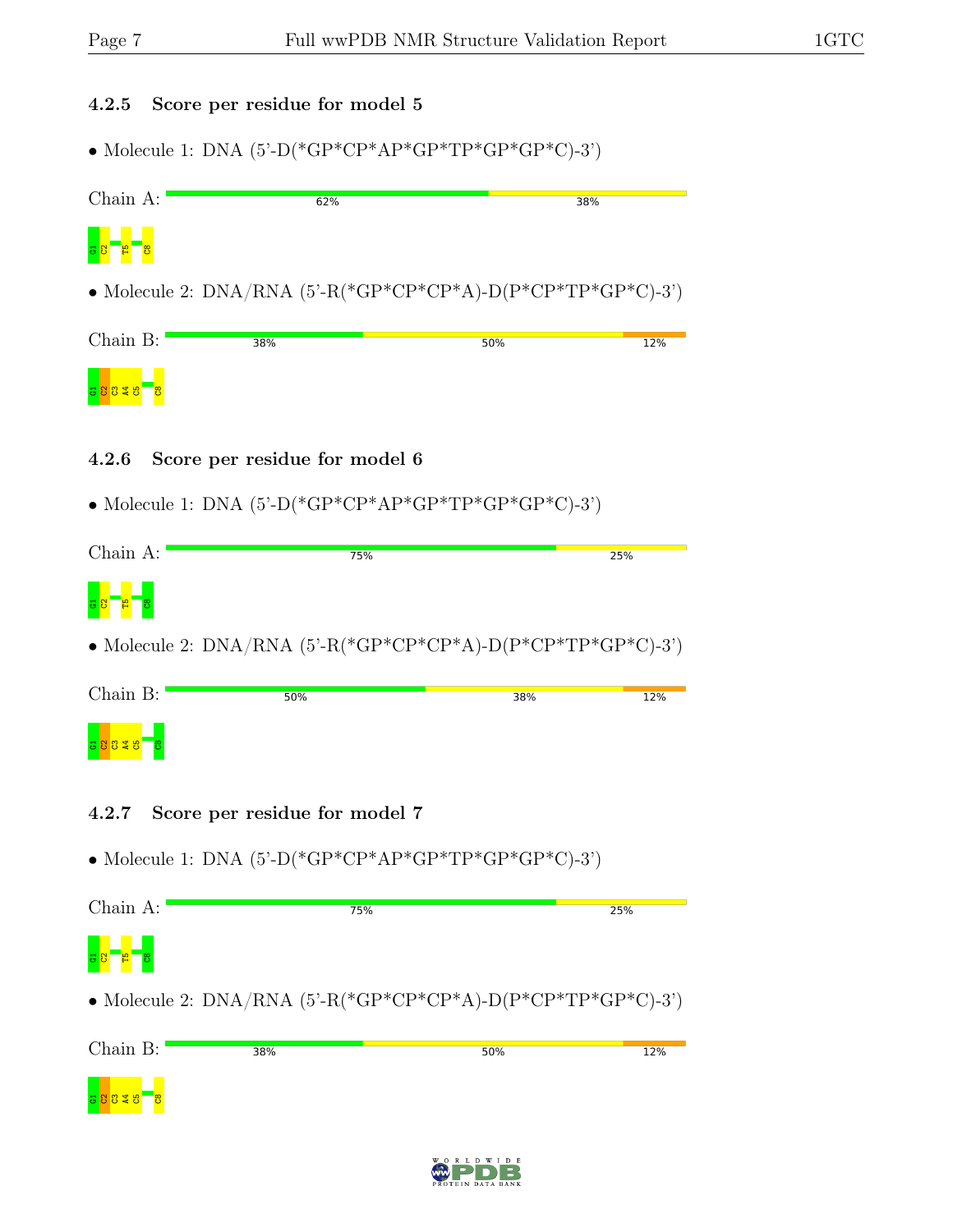## 4.2.5 Score per residue for model 5

• Molecule 1: DNA  $(5)-P$ <sup>\*</sup>GP<sup>\*</sup>CP<sup>\*</sup>AP<sup>\*</sup>GP<sup>\*</sup>TP<sup>\*</sup>GP<sup>\*</sup>GP<sup>\*</sup>C<sub>)</sub>-3'

| Chain A:   | 62% | 38%                                                                    |     |
|------------|-----|------------------------------------------------------------------------|-----|
| 38E<br>စ္က |     |                                                                        |     |
|            |     | • Molecule 2: DNA/RNA $(5^{\circ}$ -R(*GP*CP*CP*A)-D(P*CP*TP*GP*C)-3') |     |
| Chain B:   | 38% | 50%                                                                    | 12% |
|            |     |                                                                        |     |

### 4.2.6 Score per residue for model 6

• Molecule 1: DNA  $(5)-P$ <sup>\*</sup>GP<sup>\*</sup>CP<sup>\*</sup>AP<sup>\*</sup>GP<sup>\*</sup>TP<sup>\*</sup>GP<sup>\*</sup>GP<sup>\*</sup>C<sub>)</sub>-3'

| Chain A:       | 75% | 25% |
|----------------|-----|-----|
| a1<br>ႜၓ<br>38 |     |     |

• Molecule 2:  $DNA/RNA$  (5'-R(\*GP\*CP\*CP\*A)-D(P\*CP\*TP\*GP\*C)-3')

| Chain B:                | 50% | 38% | 12% |
|-------------------------|-----|-----|-----|
| ႜႜ<br>48.<br><u>공영용</u> |     |     |     |

4.2.7 Score per residue for model 7

a<br><mark>c c c a</mark>

• Molecule 1: DNA  $(5)-P$ <sup>\*</sup>GP<sup>\*</sup>CP<sup>\*</sup>AP<sup>\*</sup>GP<sup>\*</sup>TP<sup>\*</sup>GP<sup>\*</sup>GP<sup>\*</sup>C<sub>)</sub>-3'

| Chain A:       | 75%                                                                    |     | 25% |
|----------------|------------------------------------------------------------------------|-----|-----|
| $\overline{8}$ |                                                                        |     |     |
|                | • Molecule 2: DNA/RNA $(5^{\circ}$ -R(*GP*CP*CP*A)-D(P*CP*TP*GP*C)-3') |     |     |
| Chain B:       | 38%                                                                    | 50% | 12% |

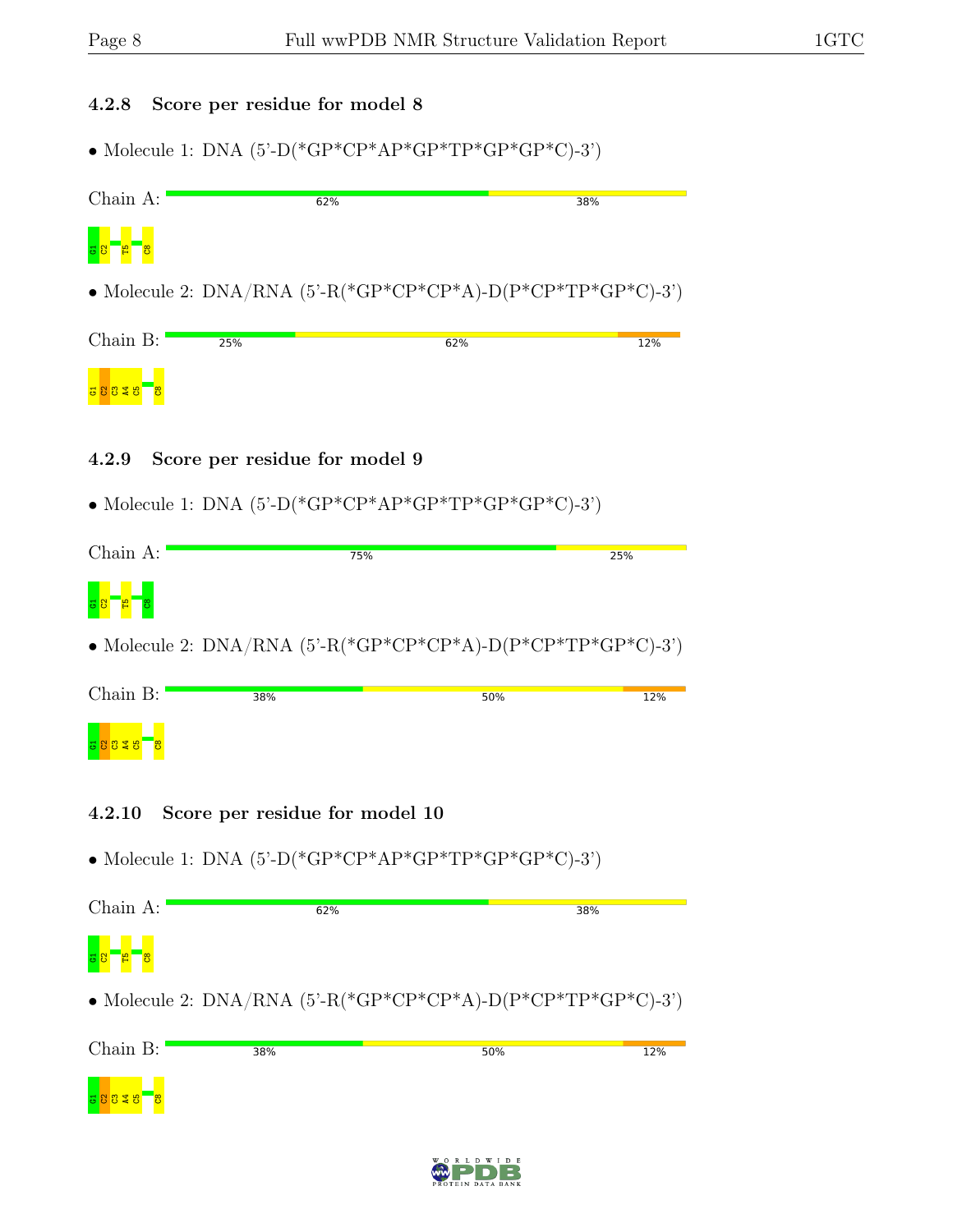### 4.2.8 Score per residue for model 8

• Molecule 1: DNA  $(5^{\circ}$ -D(\*GP\*CP\*AP\*GP\*TP\*GP\*GP\*C)-3')

| $Chain A$ :          |     | 62% | 38%                                                                    |
|----------------------|-----|-----|------------------------------------------------------------------------|
| $\frac{1}{2}$<br>စ္က |     |     |                                                                        |
|                      |     |     | • Molecule 2: DNA/RNA $(5^{\circ}$ -R(*GP*CP*CP*A)-D(P*CP*TP*GP*C)-3') |
| Chain B:             | 25% | 62% | 12%                                                                    |
|                      |     |     |                                                                        |

### 4.2.9 Score per residue for model 9

 $\bullet$  Molecule 1: DNA (5'-D(\*GP\*CP\*AP\*GP\*TP\*GP\*GP\*C)-3')

| Chain A:          | 75% | 25% |
|-------------------|-----|-----|
| $\mathbf{B}$<br>ၓ |     |     |

• Molecule 2:  $DNA/RNA$  (5'-R(\*GP\*CP\*CP\*A)-D(P\*CP\*TP\*GP\*C)-3')

| Chain B:              | 38% | 50% | 12% |
|-----------------------|-----|-----|-----|
| ႜႜႜၓ<br><u>a 8 8 </u> |     |     |     |

- 4.2.10 Score per residue for model 10
- Molecule 1: DNA  $(5)-P$ <sup>\*</sup>GP<sup>\*</sup>CP<sup>\*</sup>AP<sup>\*</sup>GP<sup>\*</sup>TP<sup>\*</sup>GP<sup>\*</sup>GP<sup>\*</sup>C<sub>)</sub>-3'

| Chain A:                            | 62%                                                                    | 38% |
|-------------------------------------|------------------------------------------------------------------------|-----|
| 8 <mark>명 - <mark>제 8</mark></mark> |                                                                        |     |
|                                     | • Molecule 2: DNA/RNA $(5^{\circ}$ -R(*GP*CP*CP*A)-D(P*CP*TP*GP*C)-3') |     |
| $\bigcap_{\alpha\in\mathbb{N}}$ D.  |                                                                        |     |

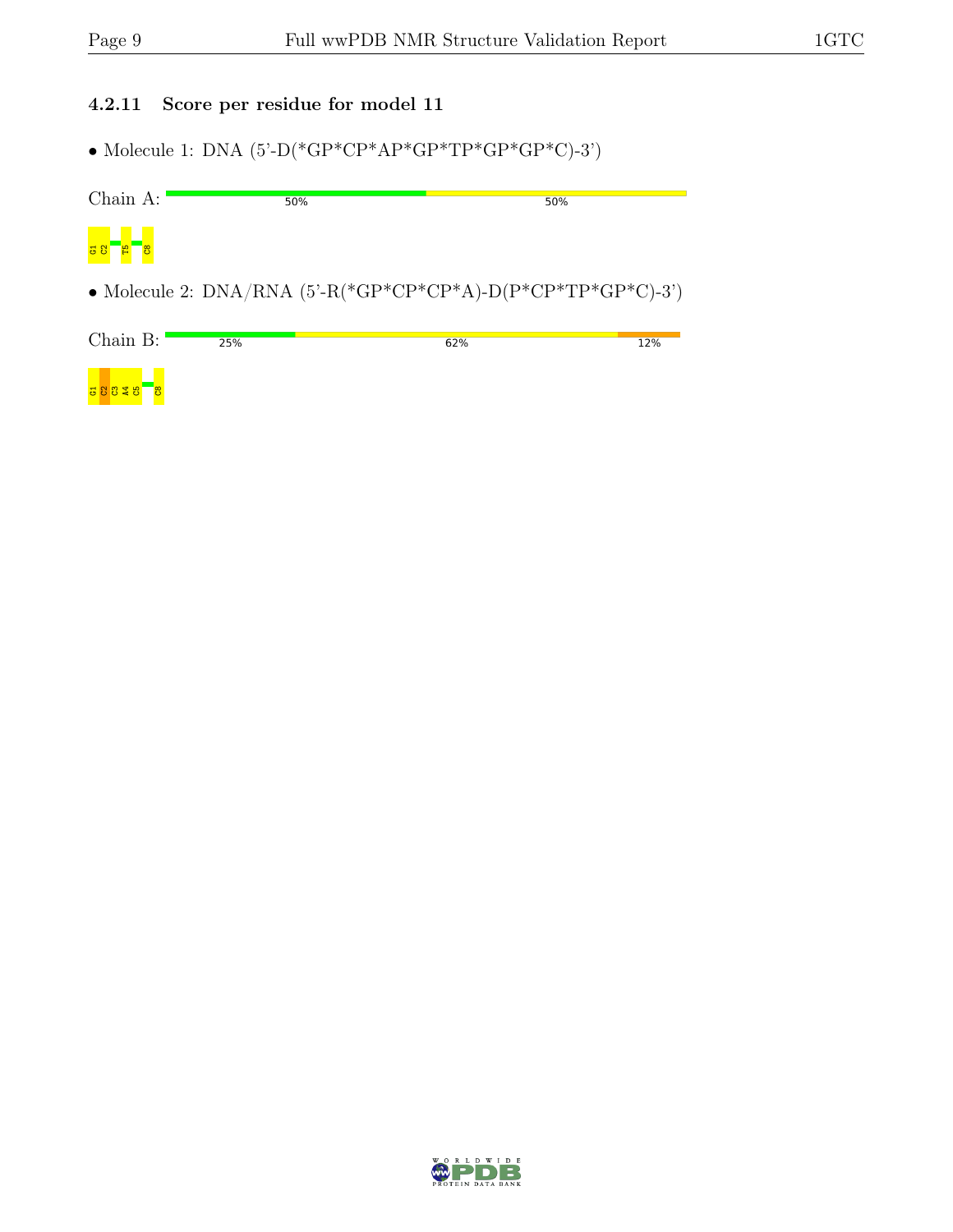### 4.2.11 Score per residue for model 11

 $\bullet$  Molecule 1: DNA (5'-D(\*GP\*CP\*AP\*GP\*TP\*GP\*GP\*C)-3')

| Chain A: | 50%                                                                    | 50% |     |
|----------|------------------------------------------------------------------------|-----|-----|
| ె్ట      |                                                                        |     |     |
|          | • Molecule 2: DNA/RNA $(5^{\circ}$ -R(*GP*CP*CP*A)-D(P*CP*TP*GP*C)-3') |     |     |
| Chain B: | 25%                                                                    | 62% | 12% |



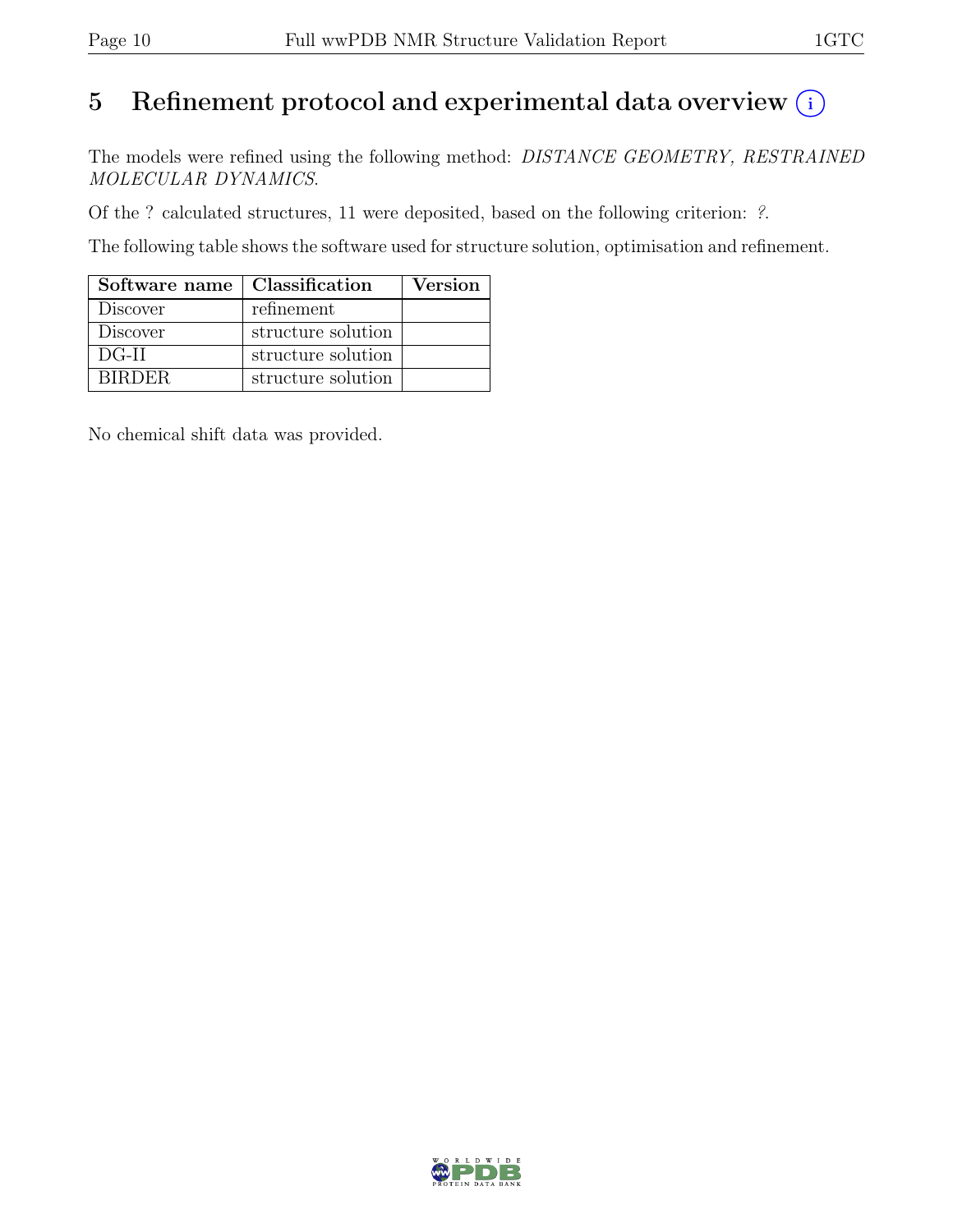## 5 Refinement protocol and experimental data overview  $(i)$

The models were refined using the following method: DISTANCE GEOMETRY, RESTRAINED MOLECULAR DYNAMICS.

Of the ? calculated structures, 11 were deposited, based on the following criterion: ?.

The following table shows the software used for structure solution, optimisation and refinement.

| Software name   Classification |                    | Version |
|--------------------------------|--------------------|---------|
| <b>Discover</b>                | refinement         |         |
| <b>Discover</b>                | structure solution |         |
| $DG-II$                        | structure solution |         |
| <b>BIRDER</b>                  | structure solution |         |

No chemical shift data was provided.

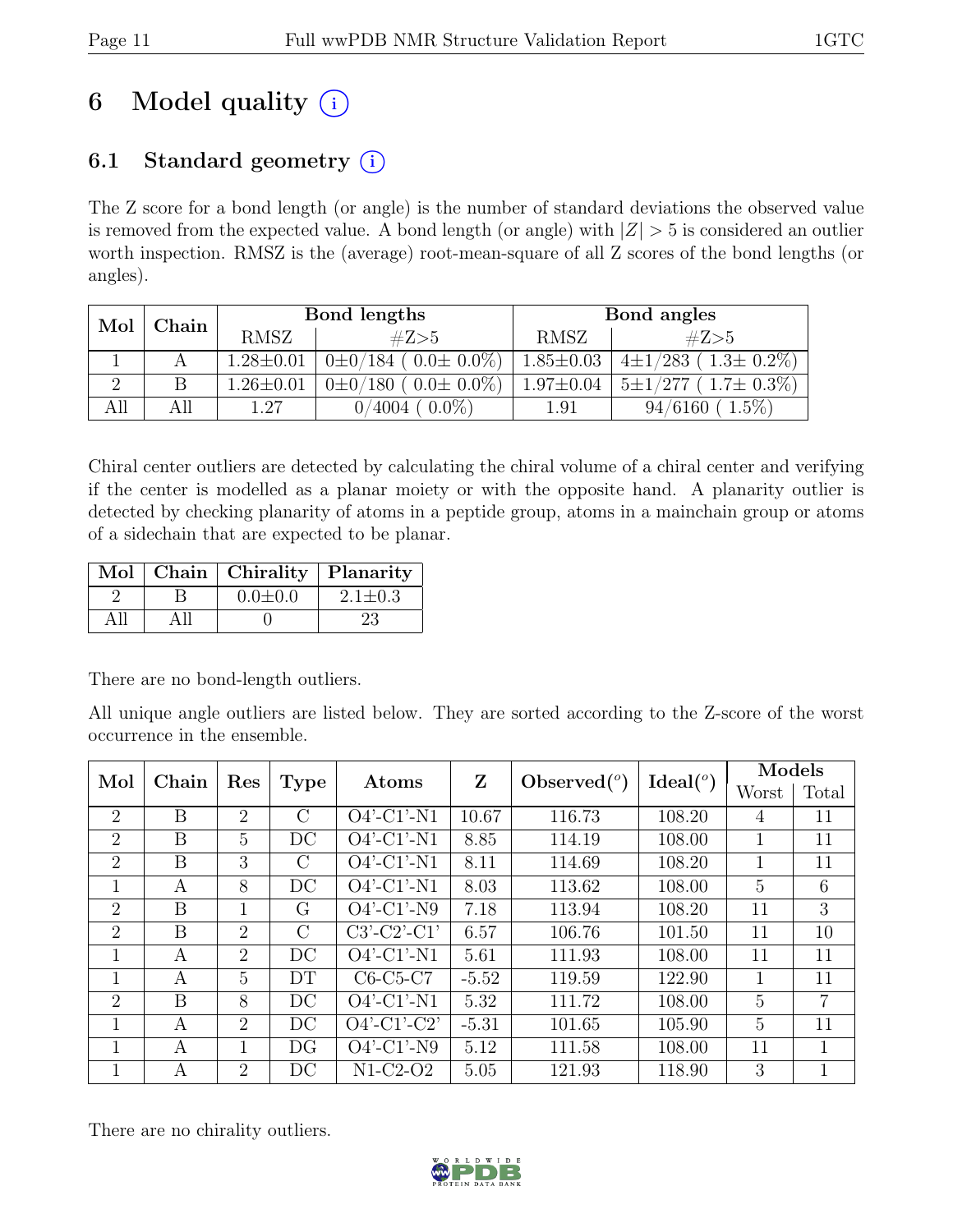# 6 Model quality  $(i)$

## 6.1 Standard geometry  $(i)$

The Z score for a bond length (or angle) is the number of standard deviations the observed value is removed from the expected value. A bond length (or angle) with  $|Z| > 5$  is considered an outlier worth inspection. RMSZ is the (average) root-mean-square of all Z scores of the bond lengths (or angles).

| Mol<br>Chain |  | Bond lengths    |                                      | Bond angles     |                                     |
|--------------|--|-----------------|--------------------------------------|-----------------|-------------------------------------|
|              |  | <b>RMSZ</b>     | #Z>5                                 | <b>RMSZ</b>     | #Z>5                                |
|              |  | $1.28 \pm 0.01$ | $0\pm 0/184$ ( $0.0\pm 0.0\%$ )      | $1.85 \pm 0.03$ | $4 \pm 1/283$ (<br>$(1.3\pm 0.2\%)$ |
|              |  | $1.26 \pm 0.01$ | $(0.0 \pm 0.0\%)$<br>$0\pm 0/180$ (  | $1.97 \pm 0.04$ | $(1.7\pm 0.3\%)$<br>$5 \pm 1/277$   |
| All          |  | 1.27            | $0.0\%$<br>$\sqrt{4004}$<br>$\Omega$ | $1.91\,$        | $1.5\%$<br>94/6160                  |

Chiral center outliers are detected by calculating the chiral volume of a chiral center and verifying if the center is modelled as a planar moiety or with the opposite hand. A planarity outlier is detected by checking planarity of atoms in a peptide group, atoms in a mainchain group or atoms of a sidechain that are expected to be planar.

|  | Mol   Chain   Chirality   Planarity |               |
|--|-------------------------------------|---------------|
|  | $0.0 \pm 0.0$                       | $2.1 \pm 0.3$ |
|  |                                     | 23            |

There are no bond-length outliers.

All unique angle outliers are listed below. They are sorted according to the Z-score of the worst occurrence in the ensemble.

| Mol<br>Chain<br>Res |              |                | Atoms   | Z                        | Observed $(°)$ | Ideal $(^\circ)$ | Models |    |              |
|---------------------|--------------|----------------|---------|--------------------------|----------------|------------------|--------|----|--------------|
|                     | <b>Type</b>  |                |         |                          |                | Worst            | Total  |    |              |
| $\overline{2}$      | B            | $\overline{2}$ | C       | $\overline{O}4'$ -C1'-N1 | 10.67          | 116.73           | 108.20 | 4  | 11           |
| $\overline{2}$      | B            | 5              | DC      | $O4'$ -C1'-N1            | 8.85           | 114.19           | 108.00 | 1  | 11           |
| 2                   | B            | 3              | $\rm C$ | $O4'$ -C1'-N1            | 8.11           | 114.69           | 108.20 | 1  | 11           |
| 1                   | А            | 8              | DC      | $O4'$ -C1'-N1            | 8.03           | 113.62           | 108.00 | 5  | 6            |
| $\overline{2}$      | B            |                | G       | $O4'$ -C1'-N9            | 7.18           | 113.94           | 108.20 | 11 | 3            |
| $\overline{2}$      | B            | $\overline{2}$ | $\rm C$ | $C3'-C2'-C1'$            | 6.57           | 106.76           | 101.50 | 11 | 10           |
| 1                   | А            | $\overline{2}$ | DC      | $O4'$ -C1'-N1            | 5.61           | 111.93           | 108.00 | 11 | 11           |
| $\mathbf 1$         | А            | 5              | DT      | $C6-C5-C7$               | $-5.52$        | 119.59           | 122.90 | 1  | 11           |
| $\overline{2}$      | B            | 8              | DC      | $O4'$ -C1'-N1            | 5.32           | 111.72           | 108.00 | 5  | 7            |
|                     | А            | $\overline{2}$ | DC      | $O4'$ -C1'-C2'           | $-5.31$        | 101.65           | 105.90 | 5  | 11           |
| 1                   | $\mathsf{A}$ |                | DG      | $O4'$ -C1'-N9            | 5.12           | 111.58           | 108.00 | 11 | $\mathbf{1}$ |
|                     | A            | $\overline{2}$ | DC      | $N1-C2-O2$               | 5.05           | 121.93           | 118.90 | 3  |              |

There are no chirality outliers.

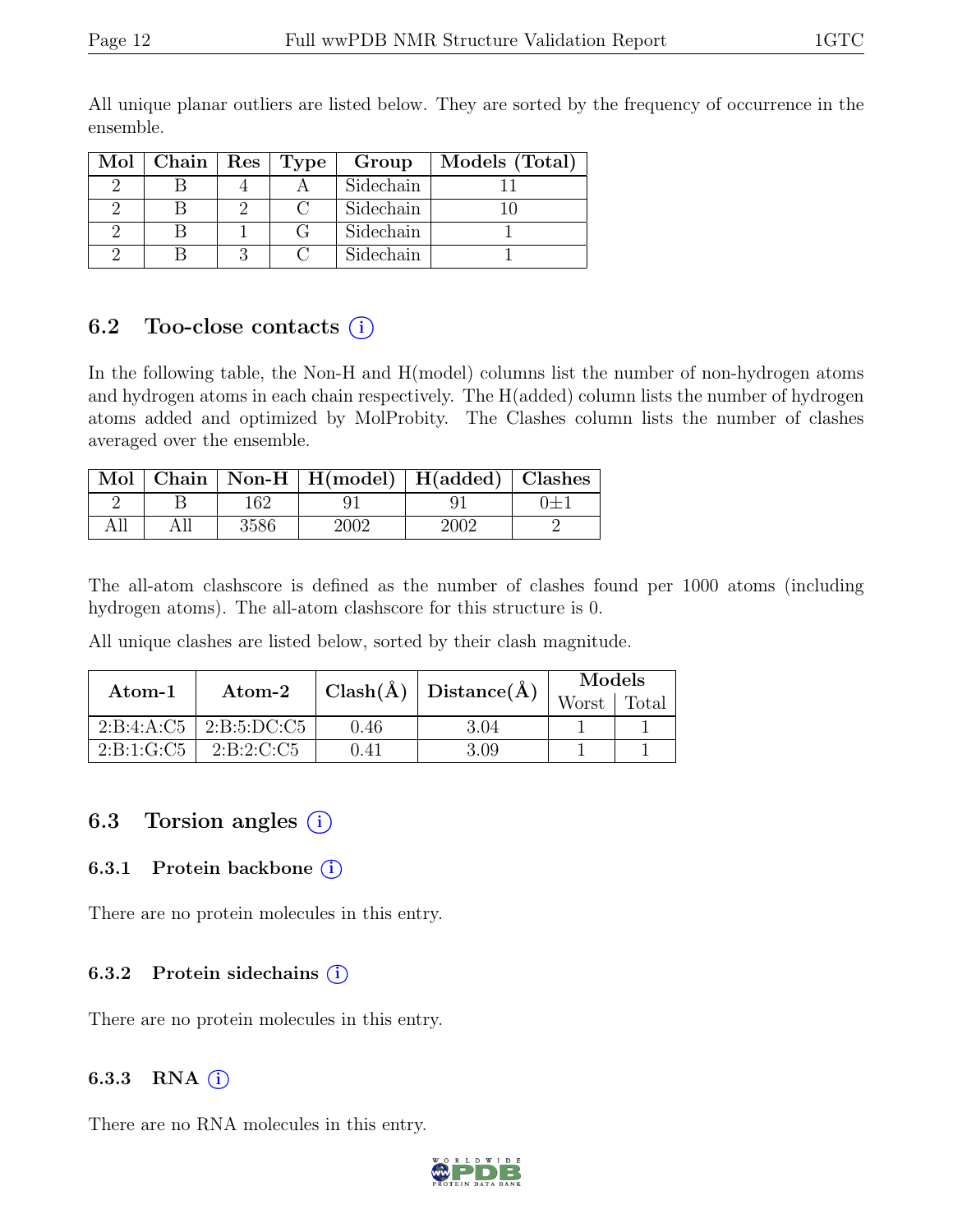| $Mol$   Chain | Res   Type | Group     | Models (Total) |
|---------------|------------|-----------|----------------|
|               |            | Sidechain |                |
|               |            | Sidechain |                |
|               |            | Sidechain |                |
|               |            | Sidechain |                |

All unique planar outliers are listed below. They are sorted by the frequency of occurrence in the ensemble.

### 6.2 Too-close contacts  $(i)$

In the following table, the Non-H and H(model) columns list the number of non-hydrogen atoms and hydrogen atoms in each chain respectively. The H(added) column lists the number of hydrogen atoms added and optimized by MolProbity. The Clashes column lists the number of clashes averaged over the ensemble.

|  |      | Mol   Chain   Non-H   H(model)   H(added)   Clashes |      |  |
|--|------|-----------------------------------------------------|------|--|
|  | 162  |                                                     |      |  |
|  | 3586 | 2002                                                | 2002 |  |

The all-atom clashscore is defined as the number of clashes found per 1000 atoms (including hydrogen atoms). The all-atom clashscore for this structure is 0.

All unique clashes are listed below, sorted by their clash magnitude.

| Atom-1         | Atom-2                       | $\text{Clash}(\AA)   \text{Distance}(\AA)$ |      | Models |       |
|----------------|------------------------------|--------------------------------------------|------|--------|-------|
|                |                              |                                            |      | Worst  | Total |
|                | $2:B:4:A:C5$   $2:B:5:DC:C5$ | 0.46                                       | 3.04 |        |       |
| 2: B: 1: G: C5 | 2: B: 2: C: C5               | 0.41                                       | 3.09 |        |       |

### 6.3 Torsion angles  $(i)$

### 6.3.1 Protein backbone (i)

There are no protein molecules in this entry.

### 6.3.2 Protein sidechains  $(i)$

There are no protein molecules in this entry.

### 6.3.3 RNA  $(i)$

There are no RNA molecules in this entry.

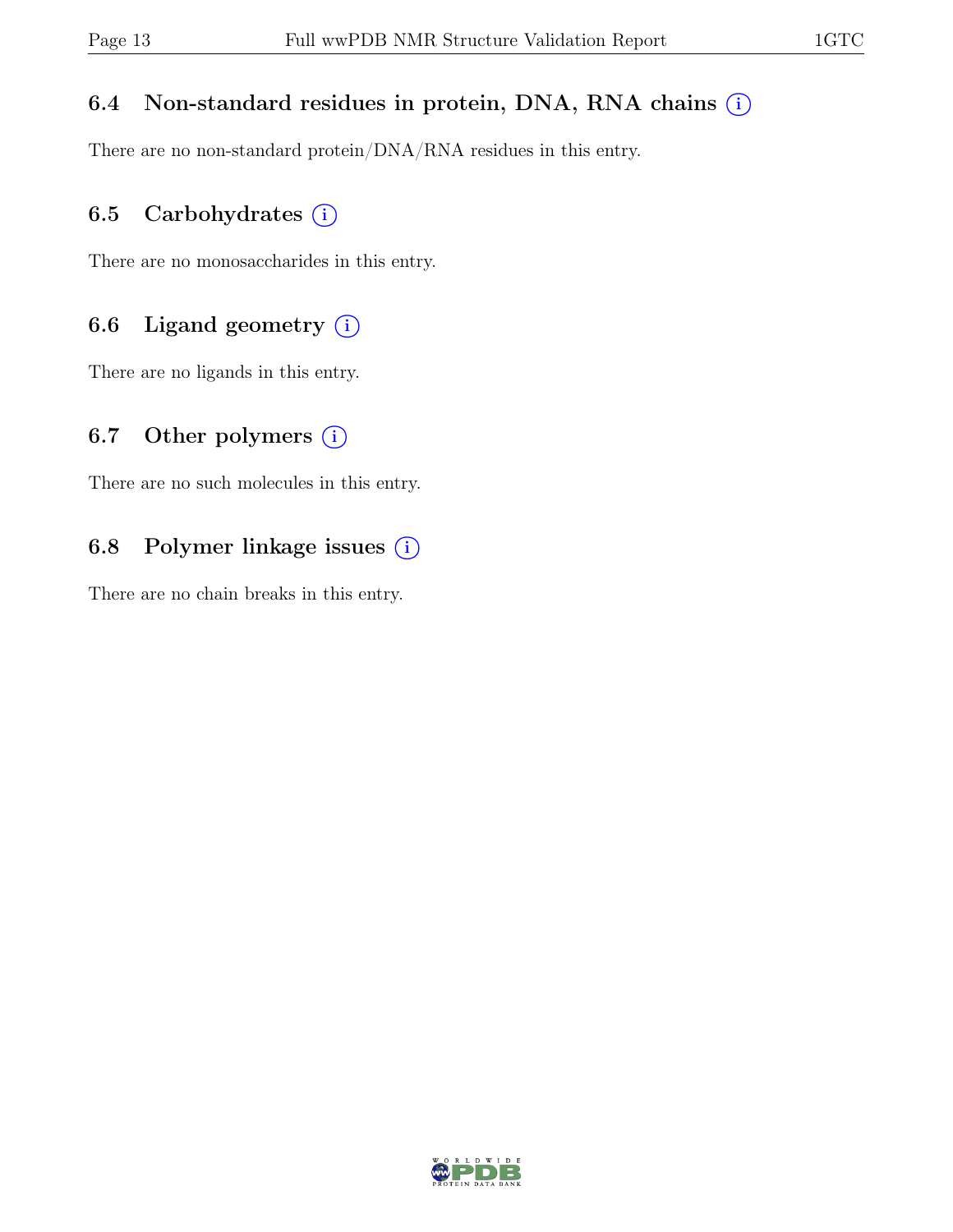## 6.4 Non-standard residues in protein, DNA, RNA chains  $(i)$

There are no non-standard protein/DNA/RNA residues in this entry.

## 6.5 Carbohydrates  $(i)$

There are no monosaccharides in this entry.

## 6.6 Ligand geometry  $(i)$

There are no ligands in this entry.

### 6.7 Other polymers  $(i)$

There are no such molecules in this entry.

## 6.8 Polymer linkage issues  $(i)$

There are no chain breaks in this entry.